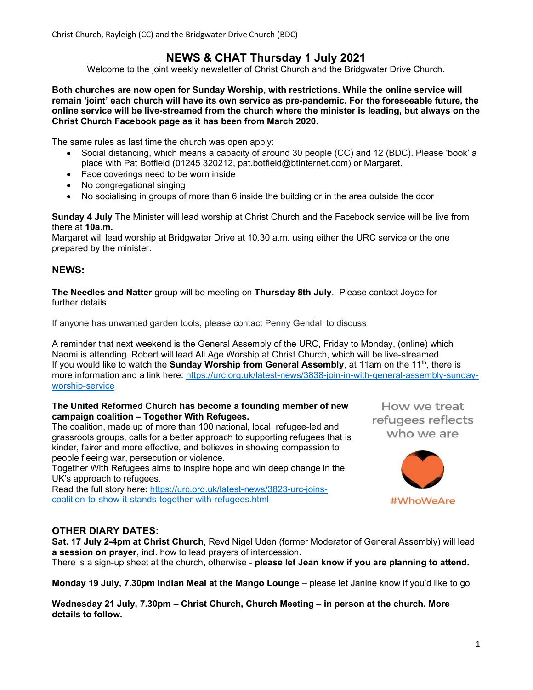Christ Church, Rayleigh (CC) and the Bridgwater Drive Church (BDC)

# NEWS & CHAT Thursday 1 July 2021

Welcome to the joint weekly newsletter of Christ Church and the Bridgwater Drive Church.

Both churches are now open for Sunday Worship, with restrictions. While the online service will remain 'joint' each church will have its own service as pre-pandemic. For the foreseeable future, the online service will be live-streamed from the church where the minister is leading, but always on the Christ Church Facebook page as it has been from March 2020.

The same rules as last time the church was open apply:

- Social distancing, which means a capacity of around 30 people (CC) and 12 (BDC). Please 'book' a place with Pat Botfield (01245 320212, pat.botfield@btinternet.com) or Margaret.
- Face coverings need to be worn inside
- No congregational singing
- No socialising in groups of more than 6 inside the building or in the area outside the door

Sunday 4 July The Minister will lead worship at Christ Church and the Facebook service will be live from there at 10a.m.

Margaret will lead worship at Bridgwater Drive at 10.30 a.m. using either the URC service or the one prepared by the minister.

## NEWS:

The Needles and Natter group will be meeting on Thursday 8th July. Please contact Joyce for further details.

If anyone has unwanted garden tools, please contact Penny Gendall to discuss

A reminder that next weekend is the General Assembly of the URC, Friday to Monday, (online) which Naomi is attending. Robert will lead All Age Worship at Christ Church, which will be live-streamed. If you would like to watch the **Sunday Worship from General Assembly**, at 11am on the 11<sup>th</sup>, there is more information and a link here: https://urc.org.uk/latest-news/3838-join-in-with-general-assembly-sundayworship-service

#### The United Reformed Church has become a founding member of new campaign coalition – Together With Refugees.

The coalition, made up of more than 100 national, local, refugee-led and grassroots groups, calls for a better approach to supporting refugees that is kinder, fairer and more effective, and believes in showing compassion to people fleeing war, persecution or violence.

Together With Refugees aims to inspire hope and win deep change in the UK's approach to refugees.

Read the full story here: https://urc.org.uk/latest-news/3823-urc-joinscoalition-to-show-it-stands-together-with-refugees.html

How we treat refugees reflects who we are



## OTHER DIARY DATES:

Sat. 17 July 2-4pm at Christ Church, Revd Nigel Uden (former Moderator of General Assembly) will lead a session on prayer, incl. how to lead prayers of intercession. There is a sign-up sheet at the church, otherwise - please let Jean know if you are planning to attend.

Monday 19 July, 7.30pm Indian Meal at the Mango Lounge – please let Janine know if you'd like to go

Wednesday 21 July, 7.30pm – Christ Church, Church Meeting – in person at the church. More details to follow.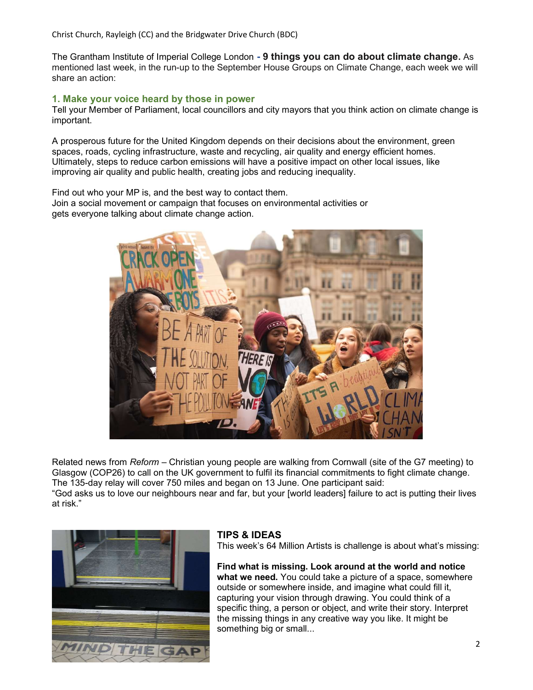Christ Church, Rayleigh (CC) and the Bridgwater Drive Church (BDC)

The Grantham Institute of Imperial College London - 9 things you can do about climate change. As mentioned last week, in the run-up to the September House Groups on Climate Change, each week we will share an action:

## 1. Make your voice heard by those in power

Tell your Member of Parliament, local councillors and city mayors that you think action on climate change is important.

A prosperous future for the United Kingdom depends on their decisions about the environment, green spaces, roads, cycling infrastructure, waste and recycling, air quality and energy efficient homes. Ultimately, steps to reduce carbon emissions will have a positive impact on other local issues, like improving air quality and public health, creating jobs and reducing inequality.

Find out who your MP is, and the best way to contact them. Join a social movement or campaign that focuses on environmental activities or gets everyone talking about climate change action.



Related news from Reform – Christian young people are walking from Cornwall (site of the G7 meeting) to Glasgow (COP26) to call on the UK government to fulfil its financial commitments to fight climate change. The 135-day relay will cover 750 miles and began on 13 June. One participant said: "God asks us to love our neighbours near and far, but your [world leaders] failure to act is putting their lives at risk."



# TIPS & IDEAS

This week's 64 Million Artists is challenge is about what's missing:

Find what is missing. Look around at the world and notice what we need. You could take a picture of a space, somewhere outside or somewhere inside, and imagine what could fill it, capturing your vision through drawing. You could think of a specific thing, a person or object, and write their story. Interpret the missing things in any creative way you like. It might be something big or small...